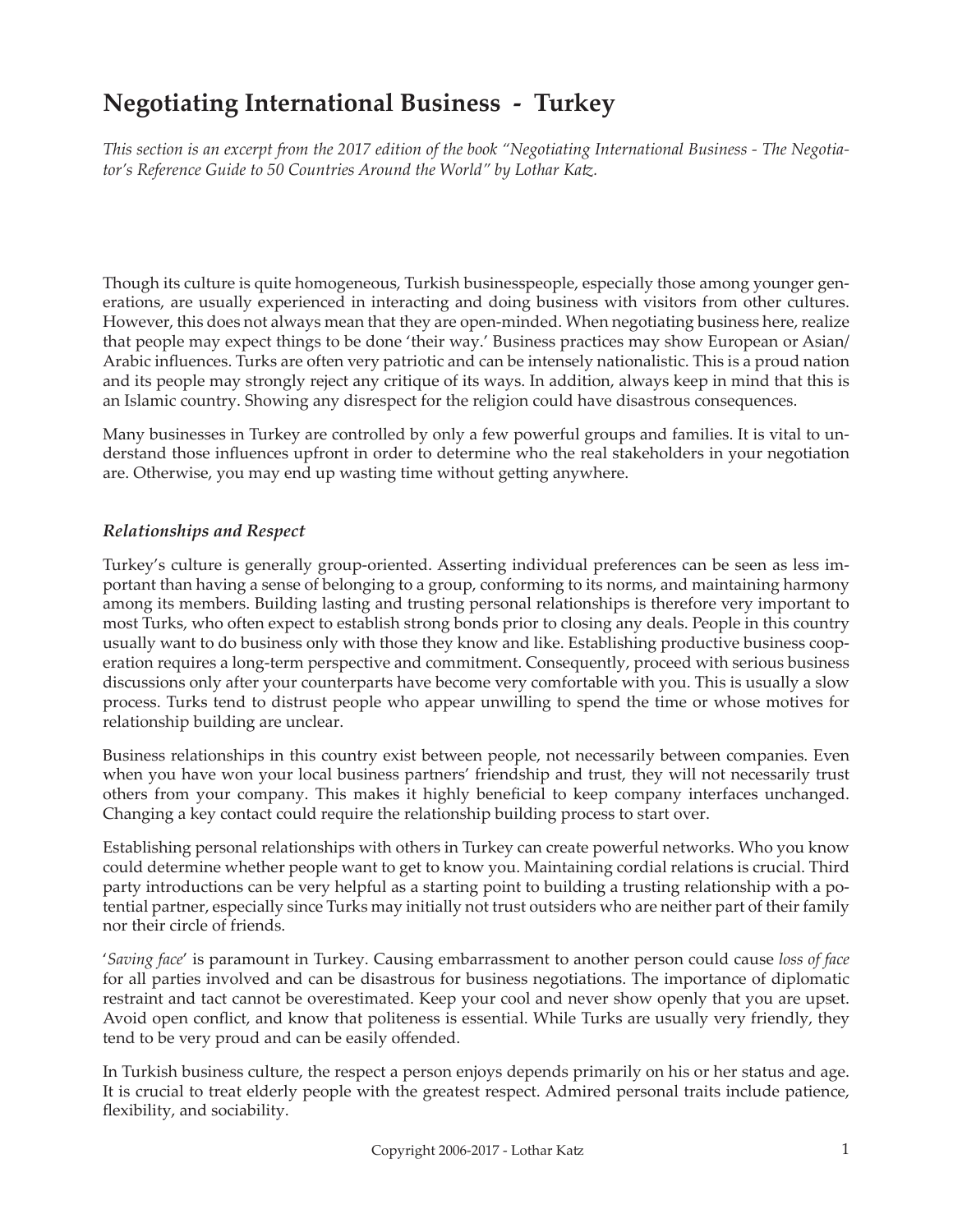# **Negotiating International Business - Turkey**

*This section is an excerpt from the 2017 edition of the book "Negotiating International Business - The Negotiator's Reference Guide to 50 Countries Around the World" by Lothar Katz.*

Though its culture is quite homogeneous, Turkish businesspeople, especially those among younger generations, are usually experienced in interacting and doing business with visitors from other cultures. However, this does not always mean that they are open-minded. When negotiating business here, realize that people may expect things to be done 'their way.' Business practices may show European or Asian/ Arabic influences. Turks are often very patriotic and can be intensely nationalistic. This is a proud nation and its people may strongly reject any critique of its ways. In addition, always keep in mind that this is an Islamic country. Showing any disrespect for the religion could have disastrous consequences.

Many businesses in Turkey are controlled by only a few powerful groups and families. It is vital to understand those influences upfront in order to determine who the real stakeholders in your negotiation are. Otherwise, you may end up wasting time without getting anywhere.

## *Relationships and Respect*

Turkey's culture is generally group-oriented. Asserting individual preferences can be seen as less important than having a sense of belonging to a group, conforming to its norms, and maintaining harmony among its members. Building lasting and trusting personal relationships is therefore very important to most Turks, who often expect to establish strong bonds prior to closing any deals. People in this country usually want to do business only with those they know and like. Establishing productive business cooperation requires a long-term perspective and commitment. Consequently, proceed with serious business discussions only after your counterparts have become very comfortable with you. This is usually a slow process. Turks tend to distrust people who appear unwilling to spend the time or whose motives for relationship building are unclear.

Business relationships in this country exist between people, not necessarily between companies. Even when you have won your local business partners' friendship and trust, they will not necessarily trust others from your company. This makes it highly beneficial to keep company interfaces unchanged. Changing a key contact could require the relationship building process to start over.

Establishing personal relationships with others in Turkey can create powerful networks. Who you know could determine whether people want to get to know you. Maintaining cordial relations is crucial. Third party introductions can be very helpful as a starting point to building a trusting relationship with a potential partner, especially since Turks may initially not trust outsiders who are neither part of their family nor their circle of friends.

'*Saving face*' is paramount in Turkey. Causing embarrassment to another person could cause *loss of face* for all parties involved and can be disastrous for business negotiations. The importance of diplomatic restraint and tact cannot be overestimated. Keep your cool and never show openly that you are upset. Avoid open conflict, and know that politeness is essential. While Turks are usually very friendly, they tend to be very proud and can be easily offended.

In Turkish business culture, the respect a person enjoys depends primarily on his or her status and age. It is crucial to treat elderly people with the greatest respect. Admired personal traits include patience, flexibility, and sociability.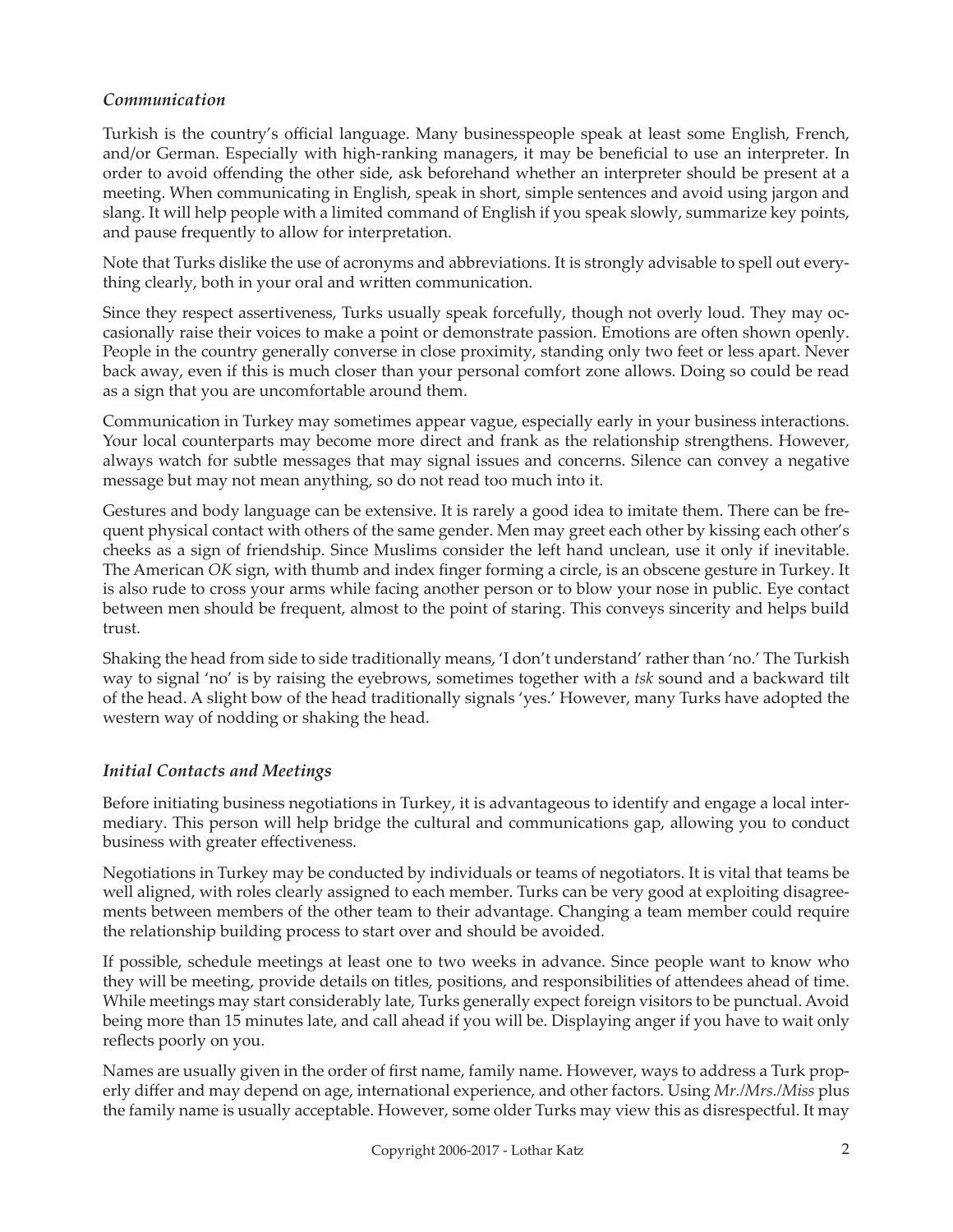## *Communication*

Turkish is the country's official language. Many businesspeople speak at least some English, French, and/or German. Especially with high-ranking managers, it may be beneficial to use an interpreter. In order to avoid offending the other side, ask beforehand whether an interpreter should be present at a meeting. When communicating in English, speak in short, simple sentences and avoid using jargon and slang. It will help people with a limited command of English if you speak slowly, summarize key points, and pause frequently to allow for interpretation.

Note that Turks dislike the use of acronyms and abbreviations. It is strongly advisable to spell out everything clearly, both in your oral and written communication.

Since they respect assertiveness, Turks usually speak forcefully, though not overly loud. They may occasionally raise their voices to make a point or demonstrate passion. Emotions are often shown openly. People in the country generally converse in close proximity, standing only two feet or less apart. Never back away, even if this is much closer than your personal comfort zone allows. Doing so could be read as a sign that you are uncomfortable around them.

Communication in Turkey may sometimes appear vague, especially early in your business interactions. Your local counterparts may become more direct and frank as the relationship strengthens. However, always watch for subtle messages that may signal issues and concerns. Silence can convey a negative message but may not mean anything, so do not read too much into it.

Gestures and body language can be extensive. It is rarely a good idea to imitate them. There can be frequent physical contact with others of the same gender. Men may greet each other by kissing each other's cheeks as a sign of friendship. Since Muslims consider the left hand unclean, use it only if inevitable. The American *OK* sign, with thumb and index finger forming a circle, is an obscene gesture in Turkey. It is also rude to cross your arms while facing another person or to blow your nose in public. Eye contact between men should be frequent, almost to the point of staring. This conveys sincerity and helps build trust.

Shaking the head from side to side traditionally means, 'I don't understand' rather than 'no.' The Turkish way to signal 'no' is by raising the eyebrows, sometimes together with a *tsk* sound and a backward tilt of the head. A slight bow of the head traditionally signals 'yes.' However, many Turks have adopted the western way of nodding or shaking the head.

## *Initial Contacts and Meetings*

Before initiating business negotiations in Turkey, it is advantageous to identify and engage a local intermediary. This person will help bridge the cultural and communications gap, allowing you to conduct business with greater effectiveness.

Negotiations in Turkey may be conducted by individuals or teams of negotiators. It is vital that teams be well aligned, with roles clearly assigned to each member. Turks can be very good at exploiting disagreements between members of the other team to their advantage. Changing a team member could require the relationship building process to start over and should be avoided.

If possible, schedule meetings at least one to two weeks in advance. Since people want to know who they will be meeting, provide details on titles, positions, and responsibilities of attendees ahead of time. While meetings may start considerably late, Turks generally expect foreign visitors to be punctual. Avoid being more than 15 minutes late, and call ahead if you will be. Displaying anger if you have to wait only reflects poorly on you.

Names are usually given in the order of first name, family name. However, ways to address a Turk properly differ and may depend on age, international experience, and other factors. Using *Mr./Mrs./Miss* plus the family name is usually acceptable. However, some older Turks may view this as disrespectful. It may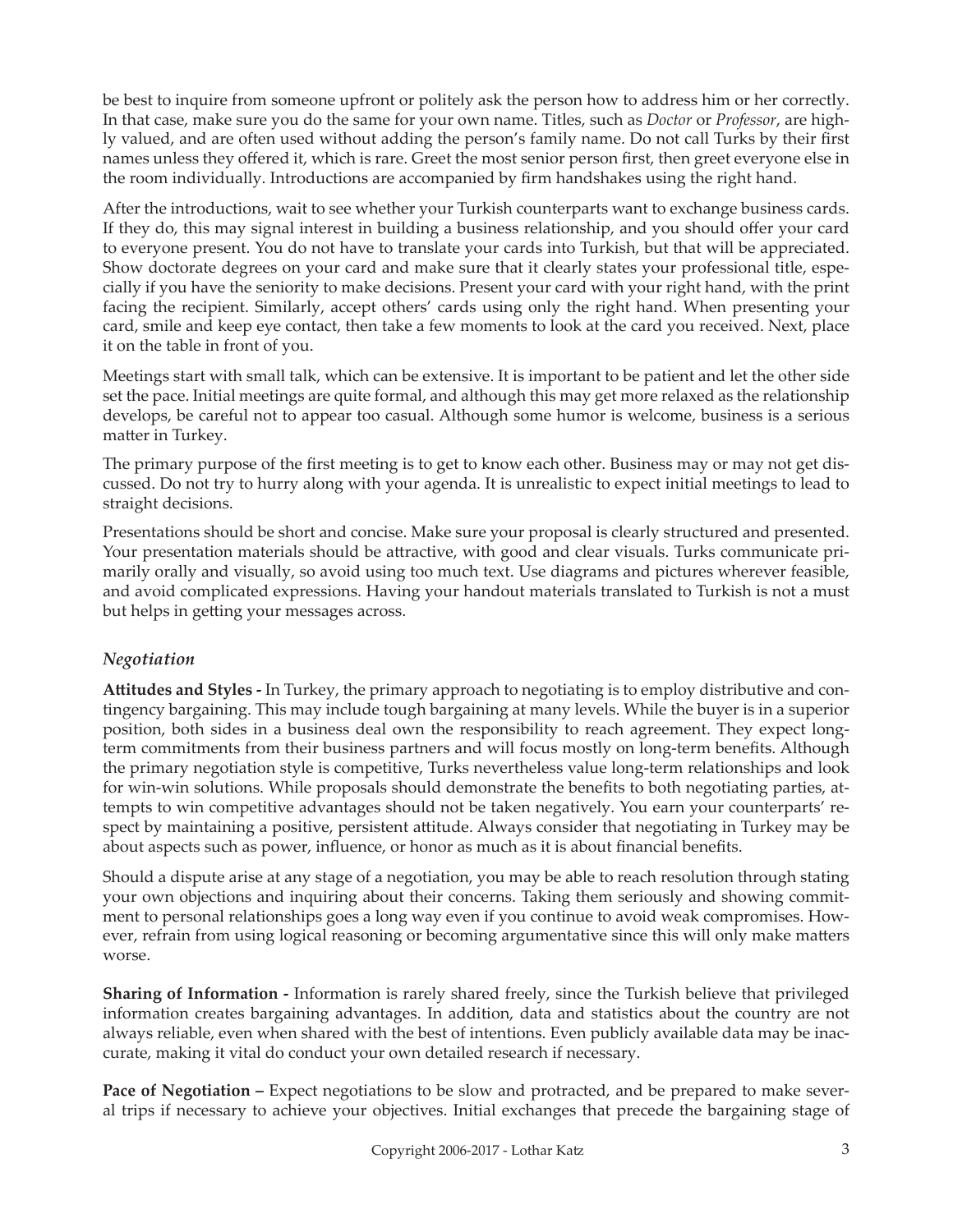be best to inquire from someone upfront or politely ask the person how to address him or her correctly. In that case, make sure you do the same for your own name. Titles, such as *Doctor* or *Professor*, are highly valued, and are often used without adding the person's family name. Do not call Turks by their first names unless they offered it, which is rare. Greet the most senior person first, then greet everyone else in the room individually. Introductions are accompanied by firm handshakes using the right hand.

After the introductions, wait to see whether your Turkish counterparts want to exchange business cards. If they do, this may signal interest in building a business relationship, and you should offer your card to everyone present. You do not have to translate your cards into Turkish, but that will be appreciated. Show doctorate degrees on your card and make sure that it clearly states your professional title, especially if you have the seniority to make decisions. Present your card with your right hand, with the print facing the recipient. Similarly, accept others' cards using only the right hand. When presenting your card, smile and keep eye contact, then take a few moments to look at the card you received. Next, place it on the table in front of you.

Meetings start with small talk, which can be extensive. It is important to be patient and let the other side set the pace. Initial meetings are quite formal, and although this may get more relaxed as the relationship develops, be careful not to appear too casual. Although some humor is welcome, business is a serious matter in Turkey.

The primary purpose of the first meeting is to get to know each other. Business may or may not get discussed. Do not try to hurry along with your agenda. It is unrealistic to expect initial meetings to lead to straight decisions.

Presentations should be short and concise. Make sure your proposal is clearly structured and presented. Your presentation materials should be attractive, with good and clear visuals. Turks communicate primarily orally and visually, so avoid using too much text. Use diagrams and pictures wherever feasible, and avoid complicated expressions. Having your handout materials translated to Turkish is not a must but helps in getting your messages across.

## *Negotiation*

**Attitudes and Styles -** In Turkey, the primary approach to negotiating is to employ distributive and contingency bargaining. This may include tough bargaining at many levels. While the buyer is in a superior position, both sides in a business deal own the responsibility to reach agreement. They expect longterm commitments from their business partners and will focus mostly on long-term benefits. Although the primary negotiation style is competitive, Turks nevertheless value long-term relationships and look for win-win solutions. While proposals should demonstrate the benefits to both negotiating parties, attempts to win competitive advantages should not be taken negatively. You earn your counterparts' respect by maintaining a positive, persistent attitude. Always consider that negotiating in Turkey may be about aspects such as power, influence, or honor as much as it is about financial benefits.

Should a dispute arise at any stage of a negotiation, you may be able to reach resolution through stating your own objections and inquiring about their concerns. Taking them seriously and showing commitment to personal relationships goes a long way even if you continue to avoid weak compromises. However, refrain from using logical reasoning or becoming argumentative since this will only make matters worse.

**Sharing of Information -** Information is rarely shared freely, since the Turkish believe that privileged information creates bargaining advantages. In addition, data and statistics about the country are not always reliable, even when shared with the best of intentions. Even publicly available data may be inaccurate, making it vital do conduct your own detailed research if necessary.

**Pace of Negotiation –** Expect negotiations to be slow and protracted, and be prepared to make several trips if necessary to achieve your objectives. Initial exchanges that precede the bargaining stage of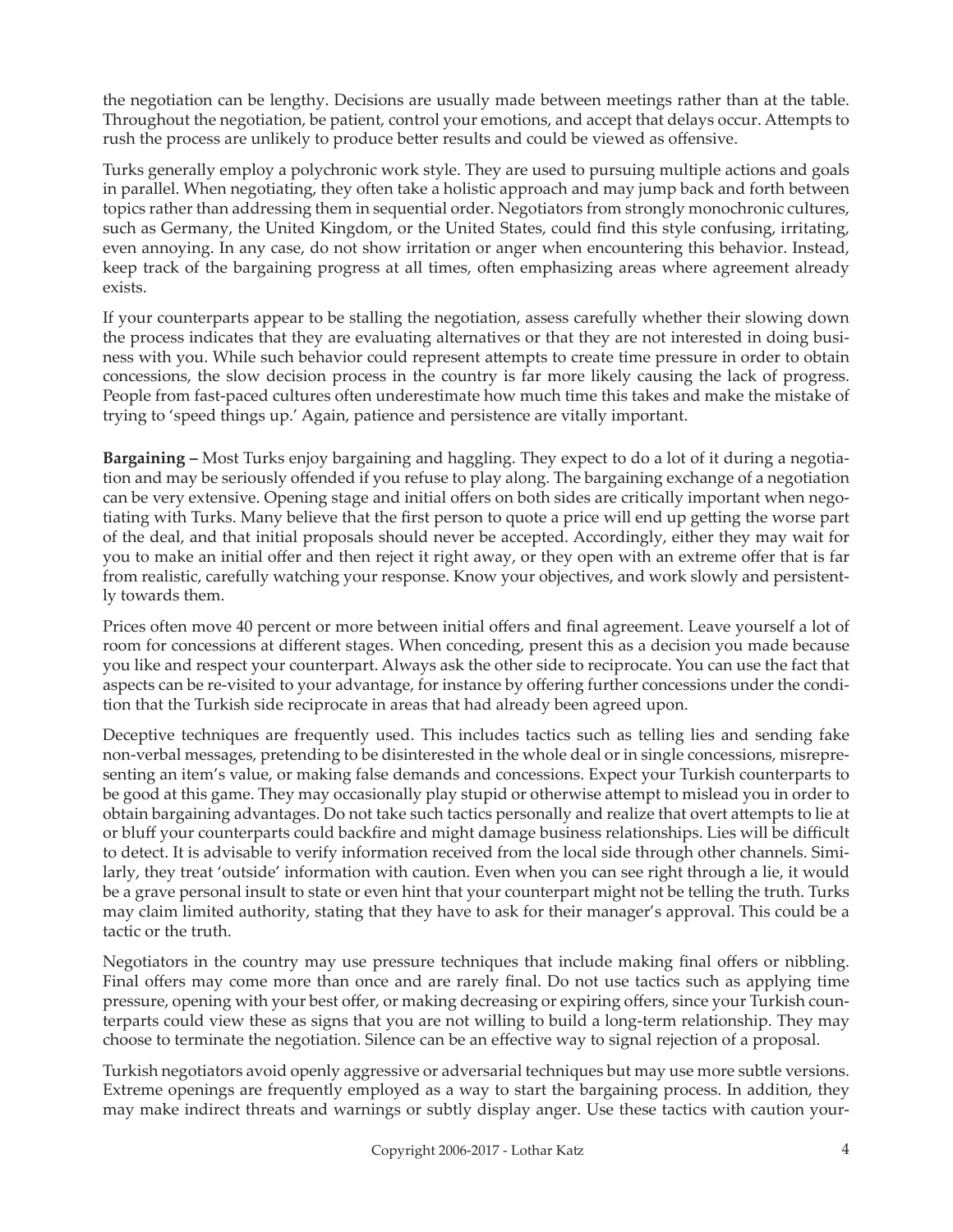the negotiation can be lengthy. Decisions are usually made between meetings rather than at the table. Throughout the negotiation, be patient, control your emotions, and accept that delays occur. Attempts to rush the process are unlikely to produce better results and could be viewed as offensive.

Turks generally employ a polychronic work style. They are used to pursuing multiple actions and goals in parallel. When negotiating, they often take a holistic approach and may jump back and forth between topics rather than addressing them in sequential order. Negotiators from strongly monochronic cultures, such as Germany, the United Kingdom, or the United States, could find this style confusing, irritating, even annoying. In any case, do not show irritation or anger when encountering this behavior. Instead, keep track of the bargaining progress at all times, often emphasizing areas where agreement already exists.

If your counterparts appear to be stalling the negotiation, assess carefully whether their slowing down the process indicates that they are evaluating alternatives or that they are not interested in doing business with you. While such behavior could represent attempts to create time pressure in order to obtain concessions, the slow decision process in the country is far more likely causing the lack of progress. People from fast-paced cultures often underestimate how much time this takes and make the mistake of trying to 'speed things up.' Again, patience and persistence are vitally important.

**Bargaining –** Most Turks enjoy bargaining and haggling. They expect to do a lot of it during a negotiation and may be seriously offended if you refuse to play along. The bargaining exchange of a negotiation can be very extensive. Opening stage and initial offers on both sides are critically important when negotiating with Turks. Many believe that the first person to quote a price will end up getting the worse part of the deal, and that initial proposals should never be accepted. Accordingly, either they may wait for you to make an initial offer and then reject it right away, or they open with an extreme offer that is far from realistic, carefully watching your response. Know your objectives, and work slowly and persistently towards them.

Prices often move 40 percent or more between initial offers and final agreement. Leave yourself a lot of room for concessions at different stages. When conceding, present this as a decision you made because you like and respect your counterpart. Always ask the other side to reciprocate. You can use the fact that aspects can be re-visited to your advantage, for instance by offering further concessions under the condition that the Turkish side reciprocate in areas that had already been agreed upon.

Deceptive techniques are frequently used. This includes tactics such as telling lies and sending fake non-verbal messages, pretending to be disinterested in the whole deal or in single concessions, misrepresenting an item's value, or making false demands and concessions. Expect your Turkish counterparts to be good at this game. They may occasionally play stupid or otherwise attempt to mislead you in order to obtain bargaining advantages. Do not take such tactics personally and realize that overt attempts to lie at or bluff your counterparts could backfire and might damage business relationships. Lies will be difficult to detect. It is advisable to verify information received from the local side through other channels. Similarly, they treat 'outside' information with caution. Even when you can see right through a lie, it would be a grave personal insult to state or even hint that your counterpart might not be telling the truth. Turks may claim limited authority, stating that they have to ask for their manager's approval. This could be a tactic or the truth.

Negotiators in the country may use pressure techniques that include making final offers or nibbling. Final offers may come more than once and are rarely final. Do not use tactics such as applying time pressure, opening with your best offer, or making decreasing or expiring offers, since your Turkish counterparts could view these as signs that you are not willing to build a long-term relationship. They may choose to terminate the negotiation. Silence can be an effective way to signal rejection of a proposal.

Turkish negotiators avoid openly aggressive or adversarial techniques but may use more subtle versions. Extreme openings are frequently employed as a way to start the bargaining process. In addition, they may make indirect threats and warnings or subtly display anger. Use these tactics with caution your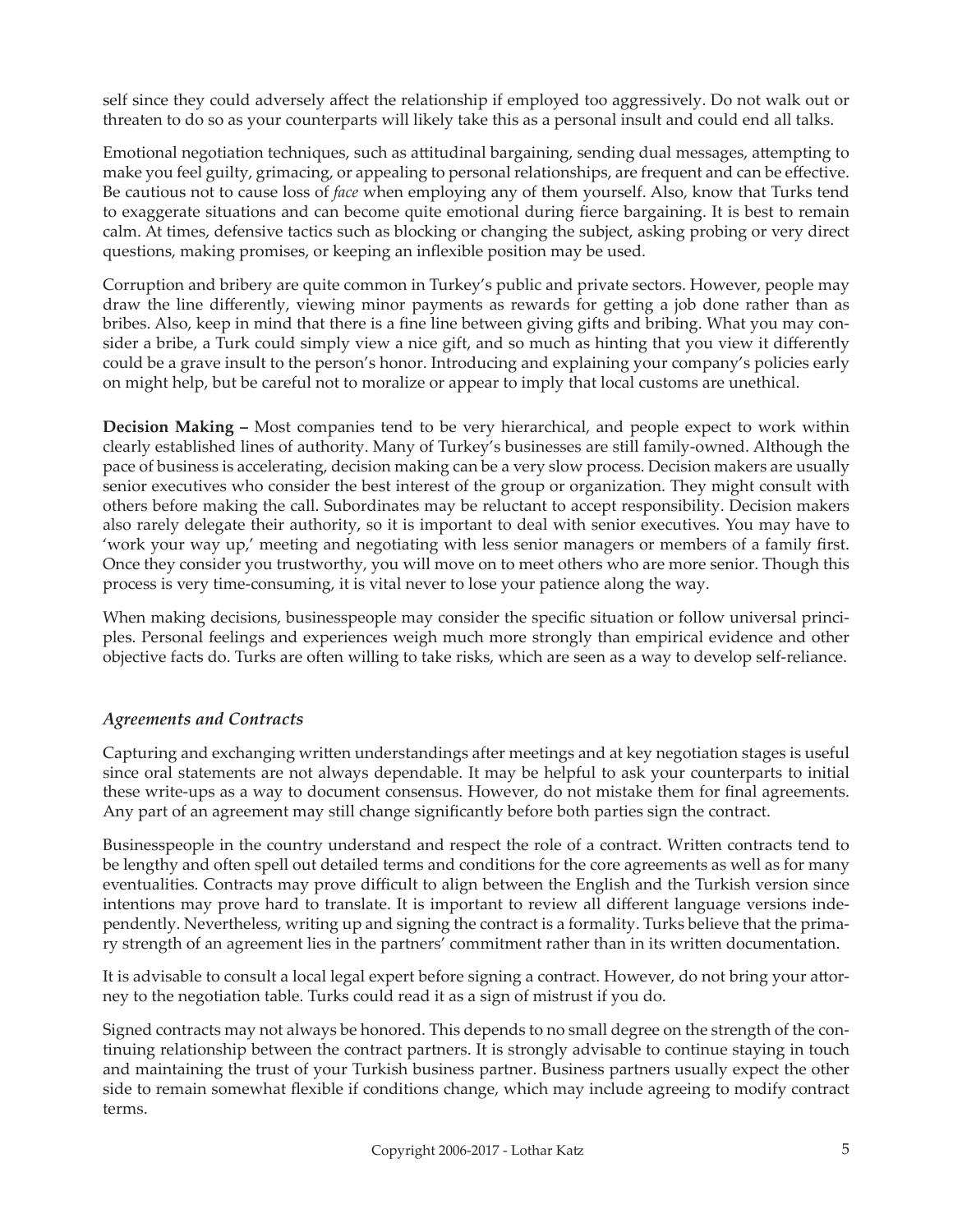self since they could adversely affect the relationship if employed too aggressively. Do not walk out or threaten to do so as your counterparts will likely take this as a personal insult and could end all talks.

Emotional negotiation techniques, such as attitudinal bargaining, sending dual messages, attempting to make you feel guilty, grimacing, or appealing to personal relationships, are frequent and can be effective. Be cautious not to cause loss of *face* when employing any of them yourself. Also, know that Turks tend to exaggerate situations and can become quite emotional during fierce bargaining. It is best to remain calm. At times, defensive tactics such as blocking or changing the subject, asking probing or very direct questions, making promises, or keeping an inflexible position may be used.

Corruption and bribery are quite common in Turkey's public and private sectors. However, people may draw the line differently, viewing minor payments as rewards for getting a job done rather than as bribes. Also, keep in mind that there is a fine line between giving gifts and bribing. What you may consider a bribe, a Turk could simply view a nice gift, and so much as hinting that you view it differently could be a grave insult to the person's honor. Introducing and explaining your company's policies early on might help, but be careful not to moralize or appear to imply that local customs are unethical.

**Decision Making –** Most companies tend to be very hierarchical, and people expect to work within clearly established lines of authority. Many of Turkey's businesses are still family-owned. Although the pace of business is accelerating, decision making can be a very slow process. Decision makers are usually senior executives who consider the best interest of the group or organization. They might consult with others before making the call. Subordinates may be reluctant to accept responsibility. Decision makers also rarely delegate their authority, so it is important to deal with senior executives. You may have to 'work your way up,' meeting and negotiating with less senior managers or members of a family first. Once they consider you trustworthy, you will move on to meet others who are more senior. Though this process is very time-consuming, it is vital never to lose your patience along the way.

When making decisions, businesspeople may consider the specific situation or follow universal principles. Personal feelings and experiences weigh much more strongly than empirical evidence and other objective facts do. Turks are often willing to take risks, which are seen as a way to develop self-reliance.

## *Agreements and Contracts*

Capturing and exchanging written understandings after meetings and at key negotiation stages is useful since oral statements are not always dependable. It may be helpful to ask your counterparts to initial these write-ups as a way to document consensus. However, do not mistake them for final agreements. Any part of an agreement may still change significantly before both parties sign the contract.

Businesspeople in the country understand and respect the role of a contract. Written contracts tend to be lengthy and often spell out detailed terms and conditions for the core agreements as well as for many eventualities. Contracts may prove difficult to align between the English and the Turkish version since intentions may prove hard to translate. It is important to review all different language versions independently. Nevertheless, writing up and signing the contract is a formality. Turks believe that the primary strength of an agreement lies in the partners' commitment rather than in its written documentation.

It is advisable to consult a local legal expert before signing a contract. However, do not bring your attorney to the negotiation table. Turks could read it as a sign of mistrust if you do.

Signed contracts may not always be honored. This depends to no small degree on the strength of the continuing relationship between the contract partners. It is strongly advisable to continue staying in touch and maintaining the trust of your Turkish business partner. Business partners usually expect the other side to remain somewhat flexible if conditions change, which may include agreeing to modify contract terms.